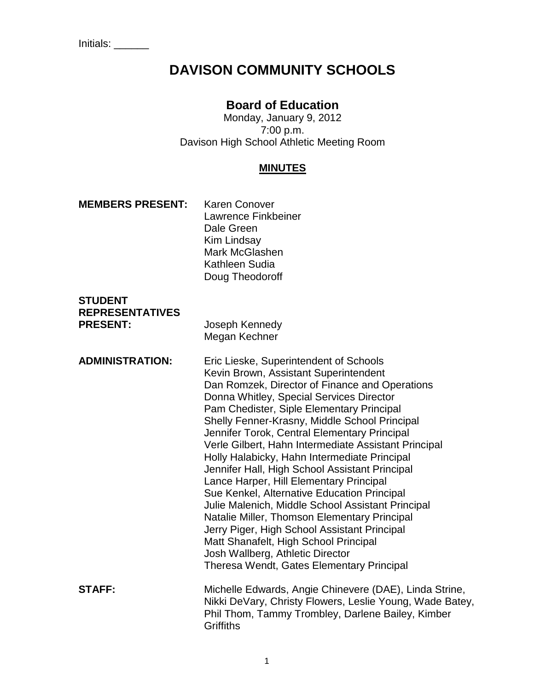# **DAVISON COMMUNITY SCHOOLS**

# **Board of Education**

Monday, January 9, 2012 7:00 p.m. Davison High School Athletic Meeting Room

### **MINUTES**

#### **MEMBERS PRESENT:** Karen Conover

Lawrence Finkbeiner Dale Green Kim Lindsay Mark McGlashen Kathleen Sudia Doug Theodoroff

#### **STUDENT REPRESENTATIVES PRESENT:** Joseph Kennedy

Megan Kechner

**ADMINISTRATION:** Eric Lieske, Superintendent of Schools Kevin Brown, Assistant Superintendent Dan Romzek, Director of Finance and Operations Donna Whitley, Special Services Director Pam Chedister, Siple Elementary Principal Shelly Fenner-Krasny, Middle School Principal Jennifer Torok, Central Elementary Principal Verle Gilbert, Hahn Intermediate Assistant Principal Holly Halabicky, Hahn Intermediate Principal Jennifer Hall, High School Assistant Principal Lance Harper, Hill Elementary Principal Sue Kenkel, Alternative Education Principal Julie Malenich, Middle School Assistant Principal Natalie Miller, Thomson Elementary Principal Jerry Piger, High School Assistant Principal Matt Shanafelt, High School Principal Josh Wallberg, Athletic Director Theresa Wendt, Gates Elementary Principal **STAFF:** Michelle Edwards, Angie Chinevere (DAE), Linda Strine, Nikki DeVary, Christy Flowers, Leslie Young, Wade Batey, Phil Thom, Tammy Trombley, Darlene Bailey, Kimber **Griffiths**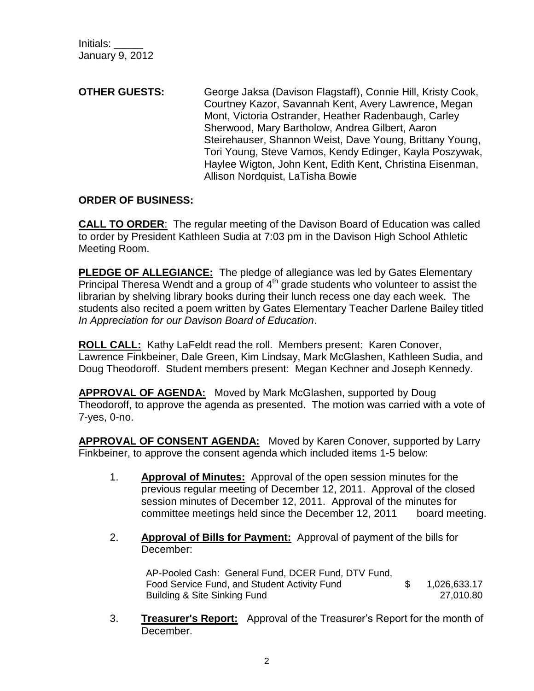Initials: \_\_\_\_\_ January 9, 2012

**OTHER GUESTS:** George Jaksa (Davison Flagstaff), Connie Hill, Kristy Cook, Courtney Kazor, Savannah Kent, Avery Lawrence, Megan Mont, Victoria Ostrander, Heather Radenbaugh, Carley Sherwood, Mary Bartholow, Andrea Gilbert, Aaron Steirehauser, Shannon Weist, Dave Young, Brittany Young, Tori Young, Steve Vamos, Kendy Edinger, Kayla Poszywak, Haylee Wigton, John Kent, Edith Kent, Christina Eisenman, Allison Nordquist, LaTisha Bowie

### **ORDER OF BUSINESS:**

**CALL TO ORDER**: The regular meeting of the Davison Board of Education was called to order by President Kathleen Sudia at 7:03 pm in the Davison High School Athletic Meeting Room.

**PLEDGE OF ALLEGIANCE:** The pledge of allegiance was led by Gates Elementary Principal Theresa Wendt and a group of  $4<sup>th</sup>$  grade students who volunteer to assist the librarian by shelving library books during their lunch recess one day each week. The students also recited a poem written by Gates Elementary Teacher Darlene Bailey titled *In Appreciation for our Davison Board of Education*.

**ROLL CALL:** Kathy LaFeldt read the roll. Members present: Karen Conover, Lawrence Finkbeiner, Dale Green, Kim Lindsay, Mark McGlashen, Kathleen Sudia, and Doug Theodoroff. Student members present: Megan Kechner and Joseph Kennedy.

**APPROVAL OF AGENDA:** Moved by Mark McGlashen, supported by Doug Theodoroff, to approve the agenda as presented. The motion was carried with a vote of 7-yes, 0-no.

**APPROVAL OF CONSENT AGENDA:** Moved by Karen Conover, supported by Larry Finkbeiner, to approve the consent agenda which included items 1-5 below:

- 1. **Approval of Minutes:** Approval of the open session minutes for the previous regular meeting of December 12, 2011. Approval of the closed session minutes of December 12, 2011. Approval of the minutes for committee meetings held since the December 12, 2011 board meeting.
- 2. **Approval of Bills for Payment:** Approval of payment of the bills for December:

AP-Pooled Cash: General Fund, DCER Fund, DTV Fund, Food Service Fund, and Student Activity Fund  $$ 1,026,633.17$ Building & Site Sinking Fund 27,010.80

3. **Treasurer's Report:** Approval of the Treasurer's Report for the month of December.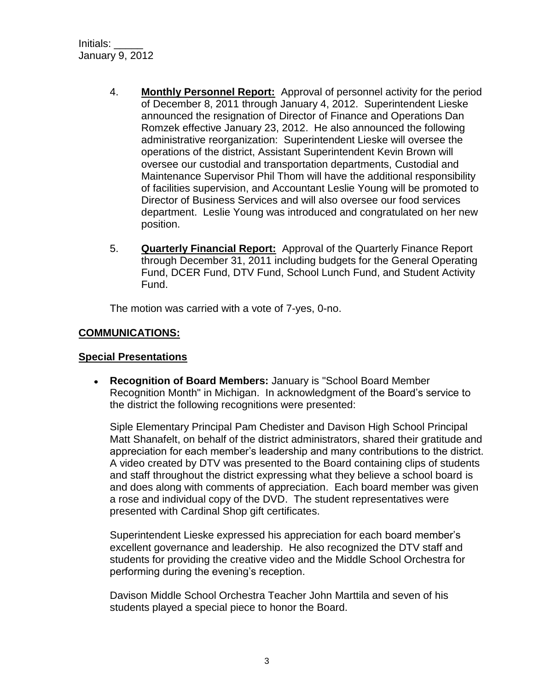Initials: \_\_\_\_\_ January 9, 2012

- 4. **Monthly Personnel Report:** Approval of personnel activity for the period of December 8, 2011 through January 4, 2012. Superintendent Lieske announced the resignation of Director of Finance and Operations Dan Romzek effective January 23, 2012. He also announced the following administrative reorganization: Superintendent Lieske will oversee the operations of the district, Assistant Superintendent Kevin Brown will oversee our custodial and transportation departments, Custodial and Maintenance Supervisor Phil Thom will have the additional responsibility of facilities supervision, and Accountant Leslie Young will be promoted to Director of Business Services and will also oversee our food services department. Leslie Young was introduced and congratulated on her new position.
- 5. **Quarterly Financial Report:** Approval of the Quarterly Finance Report through December 31, 2011 including budgets for the General Operating Fund, DCER Fund, DTV Fund, School Lunch Fund, and Student Activity Fund.

The motion was carried with a vote of 7-yes, 0-no.

### **COMMUNICATIONS:**

#### **Special Presentations**

**Recognition of Board Members:** January is "School Board Member Recognition Month" in Michigan. In acknowledgment of the Board's service to the district the following recognitions were presented:

Siple Elementary Principal Pam Chedister and Davison High School Principal Matt Shanafelt, on behalf of the district administrators, shared their gratitude and appreciation for each member's leadership and many contributions to the district. A video created by DTV was presented to the Board containing clips of students and staff throughout the district expressing what they believe a school board is and does along with comments of appreciation. Each board member was given a rose and individual copy of the DVD. The student representatives were presented with Cardinal Shop gift certificates.

Superintendent Lieske expressed his appreciation for each board member's excellent governance and leadership. He also recognized the DTV staff and students for providing the creative video and the Middle School Orchestra for performing during the evening's reception.

Davison Middle School Orchestra Teacher John Marttila and seven of his students played a special piece to honor the Board.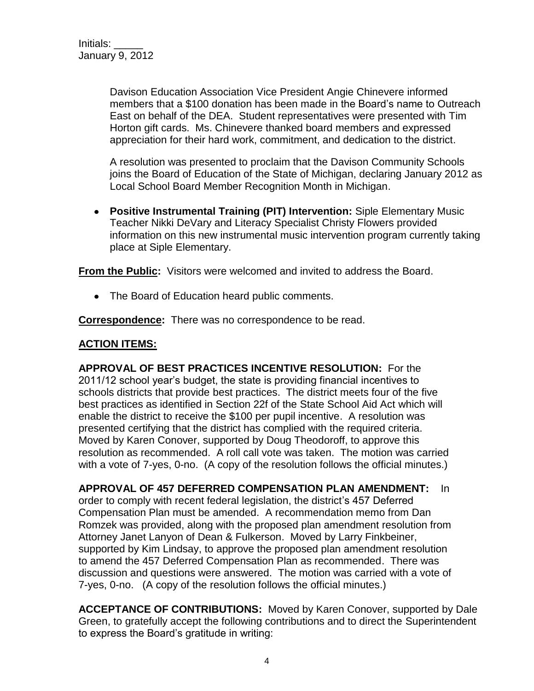Davison Education Association Vice President Angie Chinevere informed members that a \$100 donation has been made in the Board's name to Outreach East on behalf of the DEA. Student representatives were presented with Tim Horton gift cards. Ms. Chinevere thanked board members and expressed appreciation for their hard work, commitment, and dedication to the district.

A resolution was presented to proclaim that the Davison Community Schools joins the Board of Education of the State of Michigan, declaring January 2012 as Local School Board Member Recognition Month in Michigan.

**Positive Instrumental Training (PIT) Intervention:** Siple Elementary Music Teacher Nikki DeVary and Literacy Specialist Christy Flowers provided information on this new instrumental music intervention program currently taking place at Siple Elementary.

**From the Public:** Visitors were welcomed and invited to address the Board.

• The Board of Education heard public comments.

**Correspondence:** There was no correspondence to be read.

## **ACTION ITEMS:**

**APPROVAL OF BEST PRACTICES INCENTIVE RESOLUTION:** For the 2011/12 school year's budget, the state is providing financial incentives to schools districts that provide best practices. The district meets four of the five best practices as identified in Section 22f of the State School Aid Act which will enable the district to receive the \$100 per pupil incentive. A resolution was presented certifying that the district has complied with the required criteria. Moved by Karen Conover, supported by Doug Theodoroff, to approve this resolution as recommended. A roll call vote was taken. The motion was carried with a vote of 7-yes, 0-no. (A copy of the resolution follows the official minutes.)

**APPROVAL OF 457 DEFERRED COMPENSATION PLAN AMENDMENT:** In order to comply with recent federal legislation, the district's 457 Deferred Compensation Plan must be amended. A recommendation memo from Dan Romzek was provided, along with the proposed plan amendment resolution from Attorney Janet Lanyon of Dean & Fulkerson. Moved by Larry Finkbeiner, supported by Kim Lindsay, to approve the proposed plan amendment resolution to amend the 457 Deferred Compensation Plan as recommended. There was discussion and questions were answered. The motion was carried with a vote of 7-yes, 0-no. (A copy of the resolution follows the official minutes.)

**ACCEPTANCE OF CONTRIBUTIONS:** Moved by Karen Conover, supported by Dale Green, to gratefully accept the following contributions and to direct the Superintendent to express the Board's gratitude in writing: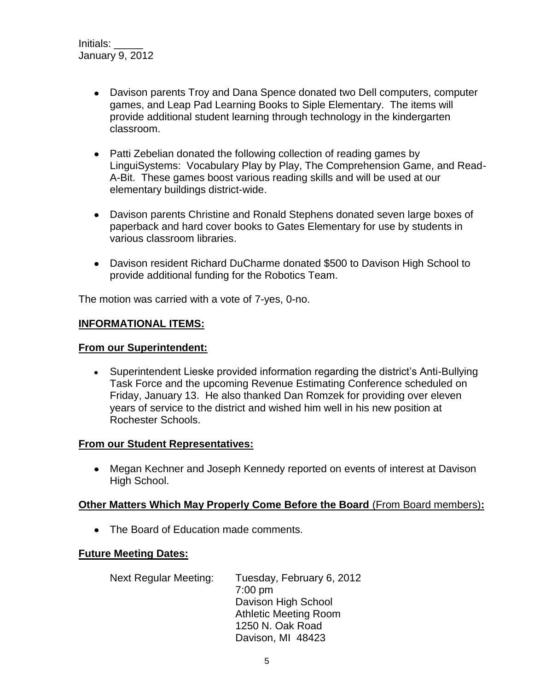- Davison parents Troy and Dana Spence donated two Dell computers, computer games, and Leap Pad Learning Books to Siple Elementary. The items will provide additional student learning through technology in the kindergarten classroom.
- Patti Zebelian donated the following collection of reading games by LinguiSystems: Vocabulary Play by Play, The Comprehension Game, and Read-A-Bit. These games boost various reading skills and will be used at our elementary buildings district-wide.
- Davison parents Christine and Ronald Stephens donated seven large boxes of paperback and hard cover books to Gates Elementary for use by students in various classroom libraries.
- Davison resident Richard DuCharme donated \$500 to Davison High School to provide additional funding for the Robotics Team.

The motion was carried with a vote of 7-yes, 0-no.

#### **INFORMATIONAL ITEMS:**

#### **From our Superintendent:**

Superintendent Lieske provided information regarding the district's Anti-Bullying Task Force and the upcoming Revenue Estimating Conference scheduled on Friday, January 13. He also thanked Dan Romzek for providing over eleven years of service to the district and wished him well in his new position at Rochester Schools.

#### **From our Student Representatives:**

Megan Kechner and Joseph Kennedy reported on events of interest at Davison High School.

#### **Other Matters Which May Properly Come Before the Board** (From Board members)**:**

• The Board of Education made comments.

#### **Future Meeting Dates:**

Next Regular Meeting: Tuesday, February 6, 2012 7:00 pm Davison High School Athletic Meeting Room 1250 N. Oak Road Davison, MI 48423